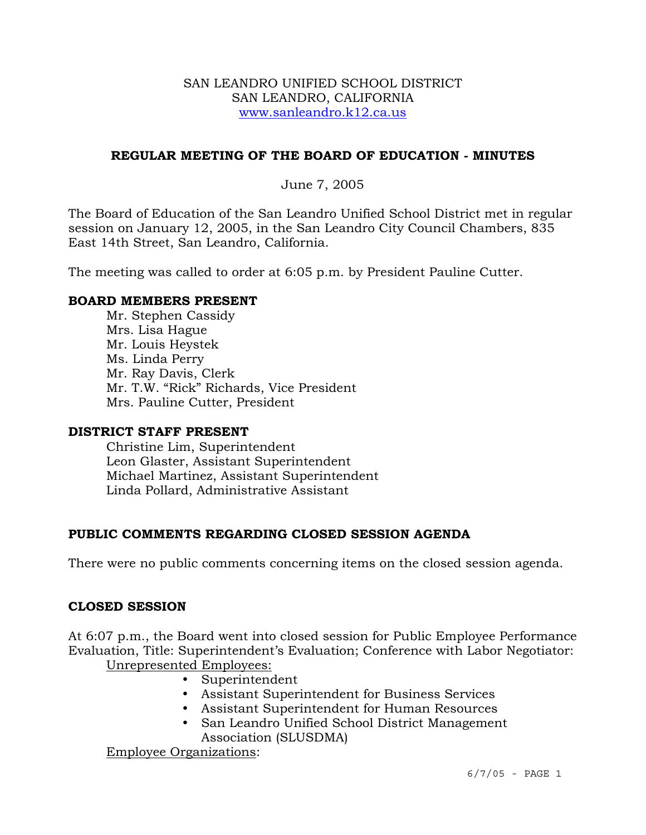#### SAN LEANDRO UNIFIED SCHOOL DISTRICT SAN LEANDRO, CALIFORNIA www.sanleandro.k12.ca.us

## **REGULAR MEETING OF THE BOARD OF EDUCATION - MINUTES**

## June 7, 2005

The Board of Education of the San Leandro Unified School District met in regular session on January 12, 2005, in the San Leandro City Council Chambers, 835 East 14th Street, San Leandro, California.

The meeting was called to order at 6:05 p.m. by President Pauline Cutter.

#### **BOARD MEMBERS PRESENT**

Mr. Stephen Cassidy Mrs. Lisa Hague Mr. Louis Heystek Ms. Linda Perry Mr. Ray Davis, Clerk Mr. T.W. "Rick" Richards, Vice President Mrs. Pauline Cutter, President

#### **DISTRICT STAFF PRESENT**

Christine Lim, Superintendent Leon Glaster, Assistant Superintendent Michael Martinez, Assistant Superintendent Linda Pollard, Administrative Assistant

# **PUBLIC COMMENTS REGARDING CLOSED SESSION AGENDA**

There were no public comments concerning items on the closed session agenda.

# **CLOSED SESSION**

At 6:07 p.m., the Board went into closed session for Public Employee Performance Evaluation, Title: Superintendent's Evaluation; Conference with Labor Negotiator: Unrepresented Employees:

- Superintendent
- Assistant Superintendent for Business Services
- y Assistant Superintendent for Human Resources
- San Leandro Unified School District Management Association (SLUSDMA)

Employee Organizations: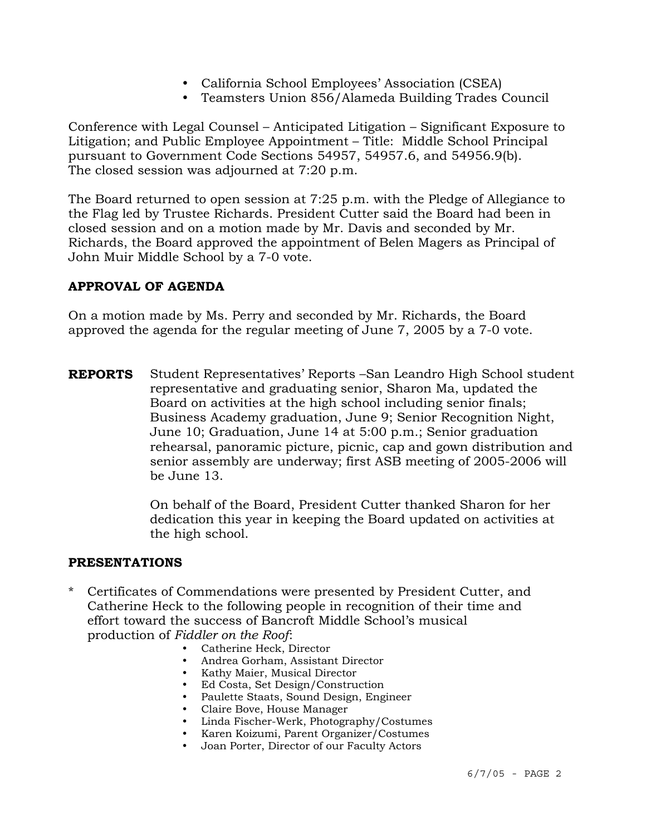- California School Employees' Association (CSEA)
- Teamsters Union 856/Alameda Building Trades Council

Conference with Legal Counsel – Anticipated Litigation – Significant Exposure to Litigation; and Public Employee Appointment – Title: Middle School Principal pursuant to Government Code Sections 54957, 54957.6, and 54956.9(b). The closed session was adjourned at 7:20 p.m.

The Board returned to open session at 7:25 p.m. with the Pledge of Allegiance to the Flag led by Trustee Richards. President Cutter said the Board had been in closed session and on a motion made by Mr. Davis and seconded by Mr. Richards, the Board approved the appointment of Belen Magers as Principal of John Muir Middle School by a 7-0 vote.

# **APPROVAL OF AGENDA**

On a motion made by Ms. Perry and seconded by Mr. Richards, the Board approved the agenda for the regular meeting of June 7, 2005 by a 7-0 vote.

**REPORTS** Student Representatives' Reports –San Leandro High School student representative and graduating senior, Sharon Ma, updated the Board on activities at the high school including senior finals; Business Academy graduation, June 9; Senior Recognition Night, June 10; Graduation, June 14 at 5:00 p.m.; Senior graduation rehearsal, panoramic picture, picnic, cap and gown distribution and senior assembly are underway; first ASB meeting of 2005-2006 will be June 13.

> On behalf of the Board, President Cutter thanked Sharon for her dedication this year in keeping the Board updated on activities at the high school.

#### **PRESENTATIONS**

- \* Certificates of Commendations were presented by President Cutter, and Catherine Heck to the following people in recognition of their time and effort toward the success of Bancroft Middle School's musical production of *Fiddler on the Roof*:
	- Catherine Heck, Director
	- Andrea Gorham, Assistant Director
	- Kathy Maier, Musical Director
	- Ed Costa, Set Design/Construction
	- Paulette Staats, Sound Design, Engineer
	- Claire Bove, House Manager
	- y Linda Fischer-Werk, Photography/Costumes
	- y Karen Koizumi, Parent Organizer/Costumes
	- Joan Porter, Director of our Faculty Actors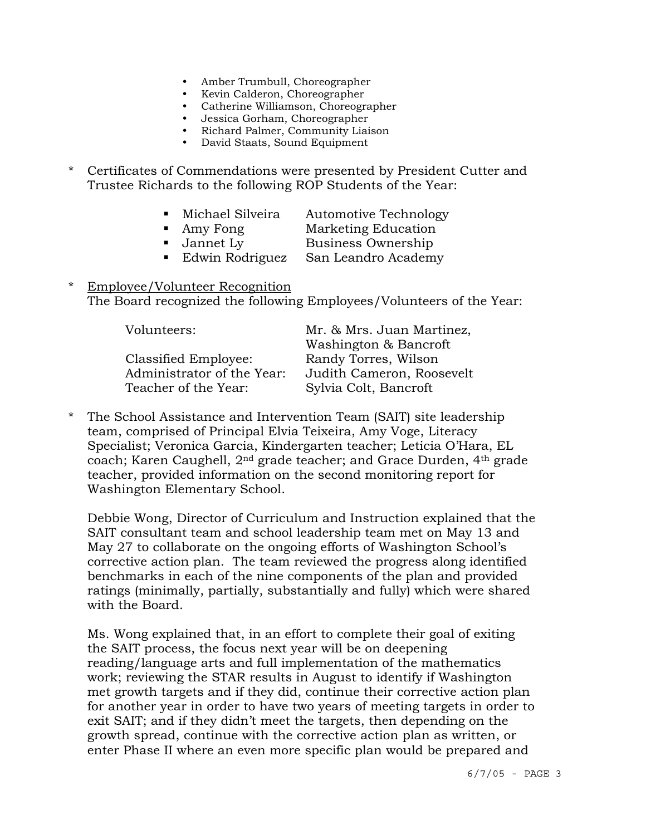- Amber Trumbull, Choreographer
- Kevin Calderon, Choreographer
- Catherine Williamson, Choreographer
- Jessica Gorham, Choreographer
- Richard Palmer, Community Liaison
- David Staats, Sound Equipment
- \* Certificates of Commendations were presented by President Cutter and Trustee Richards to the following ROP Students of the Year:
	- **Michael Silveira** Automotive Technology
	-
	- Amy Fong Marketing Education
	-
	- Jannet Ly Business Ownership
	- Edwin Rodriguez San Leandro Academy
- \* Employee/Volunteer Recognition The Board recognized the following Employees/Volunteers of the Year:

| Volunteers:                | Mr. & Mrs. Juan Martinez, |
|----------------------------|---------------------------|
|                            | Washington & Bancroft     |
| Classified Employee:       | Randy Torres, Wilson      |
| Administrator of the Year: | Judith Cameron, Roosevelt |
| Teacher of the Year:       | Sylvia Colt, Bancroft     |

\* The School Assistance and Intervention Team (SAIT) site leadership team, comprised of Principal Elvia Teixeira, Amy Voge, Literacy Specialist; Veronica Garcia, Kindergarten teacher; Leticia O'Hara, EL coach; Karen Caughell, 2nd grade teacher; and Grace Durden, 4th grade teacher, provided information on the second monitoring report for Washington Elementary School.

 Debbie Wong, Director of Curriculum and Instruction explained that the SAIT consultant team and school leadership team met on May 13 and May 27 to collaborate on the ongoing efforts of Washington School's corrective action plan. The team reviewed the progress along identified benchmarks in each of the nine components of the plan and provided ratings (minimally, partially, substantially and fully) which were shared with the Board.

 Ms. Wong explained that, in an effort to complete their goal of exiting the SAIT process, the focus next year will be on deepening reading/language arts and full implementation of the mathematics work; reviewing the STAR results in August to identify if Washington met growth targets and if they did, continue their corrective action plan for another year in order to have two years of meeting targets in order to exit SAIT; and if they didn't meet the targets, then depending on the growth spread, continue with the corrective action plan as written, or enter Phase II where an even more specific plan would be prepared and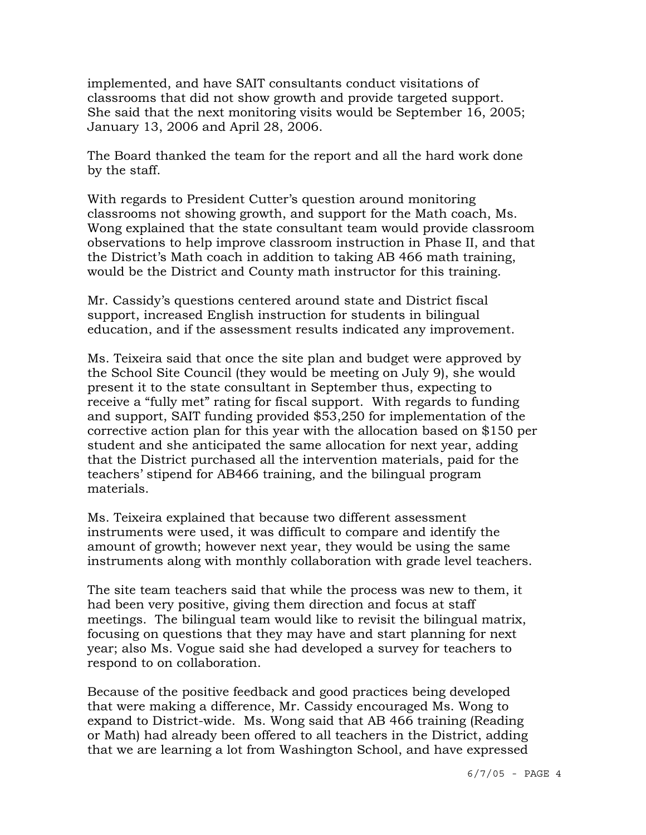implemented, and have SAIT consultants conduct visitations of classrooms that did not show growth and provide targeted support. She said that the next monitoring visits would be September 16, 2005; January 13, 2006 and April 28, 2006.

 The Board thanked the team for the report and all the hard work done by the staff.

 With regards to President Cutter's question around monitoring classrooms not showing growth, and support for the Math coach, Ms. Wong explained that the state consultant team would provide classroom observations to help improve classroom instruction in Phase II, and that the District's Math coach in addition to taking AB 466 math training, would be the District and County math instructor for this training.

 Mr. Cassidy's questions centered around state and District fiscal support, increased English instruction for students in bilingual education, and if the assessment results indicated any improvement.

 Ms. Teixeira said that once the site plan and budget were approved by the School Site Council (they would be meeting on July 9), she would present it to the state consultant in September thus, expecting to receive a "fully met" rating for fiscal support. With regards to funding and support, SAIT funding provided \$53,250 for implementation of the corrective action plan for this year with the allocation based on \$150 per student and she anticipated the same allocation for next year, adding that the District purchased all the intervention materials, paid for the teachers' stipend for AB466 training, and the bilingual program materials.

 Ms. Teixeira explained that because two different assessment instruments were used, it was difficult to compare and identify the amount of growth; however next year, they would be using the same instruments along with monthly collaboration with grade level teachers.

 The site team teachers said that while the process was new to them, it had been very positive, giving them direction and focus at staff meetings. The bilingual team would like to revisit the bilingual matrix, focusing on questions that they may have and start planning for next year; also Ms. Vogue said she had developed a survey for teachers to respond to on collaboration.

 Because of the positive feedback and good practices being developed that were making a difference, Mr. Cassidy encouraged Ms. Wong to expand to District-wide. Ms. Wong said that AB 466 training (Reading or Math) had already been offered to all teachers in the District, adding that we are learning a lot from Washington School, and have expressed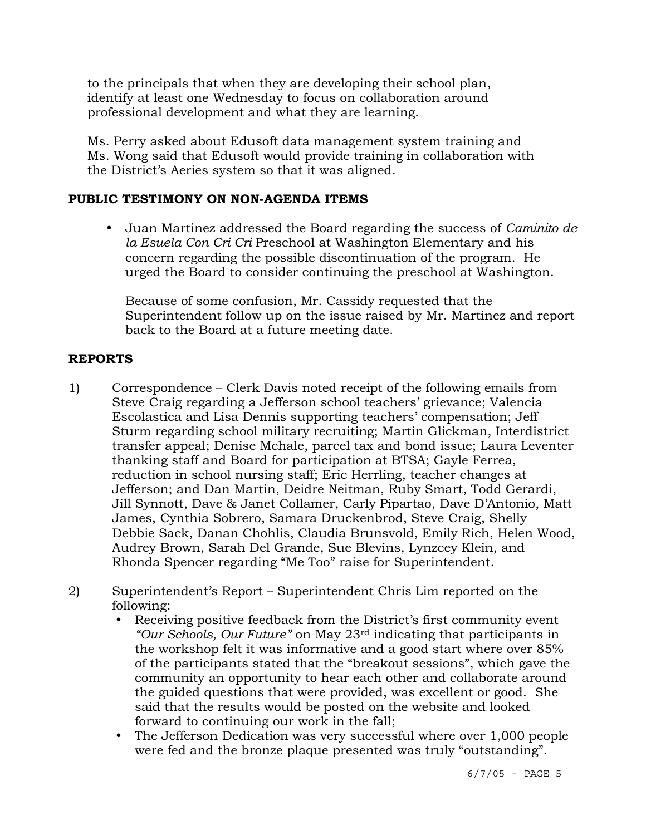to the principals that when they are developing their school plan, identify at least one Wednesday to focus on collaboration around professional development and what they are learning.

 Ms. Perry asked about Edusoft data management system training and Ms. Wong said that Edusoft would provide training in collaboration with the District's Aeries system so that it was aligned.

# **PUBLIC TESTIMONY ON NON-AGENDA ITEMS**

y Juan Martinez addressed the Board regarding the success of *Caminito de la Esuela Con Cri Cri* Preschool at Washington Elementary and his concern regarding the possible discontinuation of the program. He urged the Board to consider continuing the preschool at Washington.

 Because of some confusion, Mr. Cassidy requested that the Superintendent follow up on the issue raised by Mr. Martinez and report back to the Board at a future meeting date.

# **REPORTS**

- 1) Correspondence Clerk Davis noted receipt of the following emails from Steve Craig regarding a Jefferson school teachers' grievance; Valencia Escolastica and Lisa Dennis supporting teachers' compensation; Jeff Sturm regarding school military recruiting; Martin Glickman, Interdistrict transfer appeal; Denise Mchale, parcel tax and bond issue; Laura Leventer thanking staff and Board for participation at BTSA; Gayle Ferrea, reduction in school nursing staff; Eric Herrling, teacher changes at Jefferson; and Dan Martin, Deidre Neitman, Ruby Smart, Todd Gerardi, Jill Synnott, Dave & Janet Collamer, Carly Pipartao, Dave D'Antonio, Matt James, Cynthia Sobrero, Samara Druckenbrod, Steve Craig, Shelly Debbie Sack, Danan Chohlis, Claudia Brunsvold, Emily Rich, Helen Wood, Audrey Brown, Sarah Del Grande, Sue Blevins, Lynzcey Klein, and Rhonda Spencer regarding "Me Too" raise for Superintendent.
- 2) Superintendent's Report Superintendent Chris Lim reported on the following:
	- Receiving positive feedback from the District's first community event *"Our Schools, Our Future"* on May 23rd indicating that participants in the workshop felt it was informative and a good start where over 85% of the participants stated that the "breakout sessions", which gave the community an opportunity to hear each other and collaborate around the guided questions that were provided, was excellent or good. She said that the results would be posted on the website and looked forward to continuing our work in the fall;
	- The Jefferson Dedication was very successful where over 1,000 people were fed and the bronze plaque presented was truly "outstanding".

6/7/05 - PAGE 5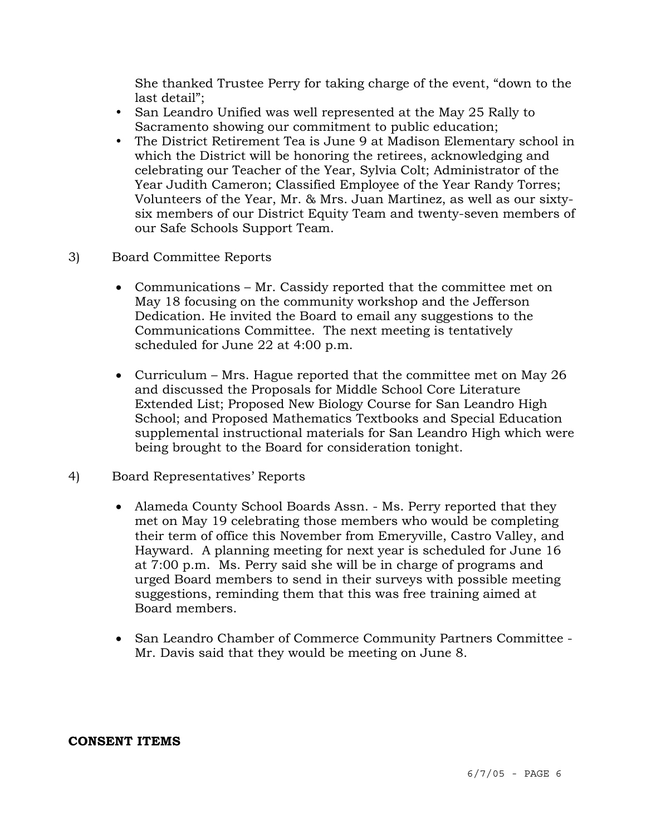She thanked Trustee Perry for taking charge of the event, "down to the last detail";

- San Leandro Unified was well represented at the May 25 Rally to Sacramento showing our commitment to public education;
- The District Retirement Tea is June 9 at Madison Elementary school in which the District will be honoring the retirees, acknowledging and celebrating our Teacher of the Year, Sylvia Colt; Administrator of the Year Judith Cameron; Classified Employee of the Year Randy Torres; Volunteers of the Year, Mr. & Mrs. Juan Martinez, as well as our sixtysix members of our District Equity Team and twenty-seven members of our Safe Schools Support Team.
- 3) Board Committee Reports
	- Communications Mr. Cassidy reported that the committee met on May 18 focusing on the community workshop and the Jefferson Dedication. He invited the Board to email any suggestions to the Communications Committee. The next meeting is tentatively scheduled for June 22 at 4:00 p.m.
	- Curriculum Mrs. Hague reported that the committee met on May 26 and discussed the Proposals for Middle School Core Literature Extended List; Proposed New Biology Course for San Leandro High School; and Proposed Mathematics Textbooks and Special Education supplemental instructional materials for San Leandro High which were being brought to the Board for consideration tonight.
- 4) Board Representatives' Reports
	- Alameda County School Boards Assn. Ms. Perry reported that they met on May 19 celebrating those members who would be completing their term of office this November from Emeryville, Castro Valley, and Hayward. A planning meeting for next year is scheduled for June 16 at 7:00 p.m. Ms. Perry said she will be in charge of programs and urged Board members to send in their surveys with possible meeting suggestions, reminding them that this was free training aimed at Board members.
	- San Leandro Chamber of Commerce Community Partners Committee Mr. Davis said that they would be meeting on June 8.

#### **CONSENT ITEMS**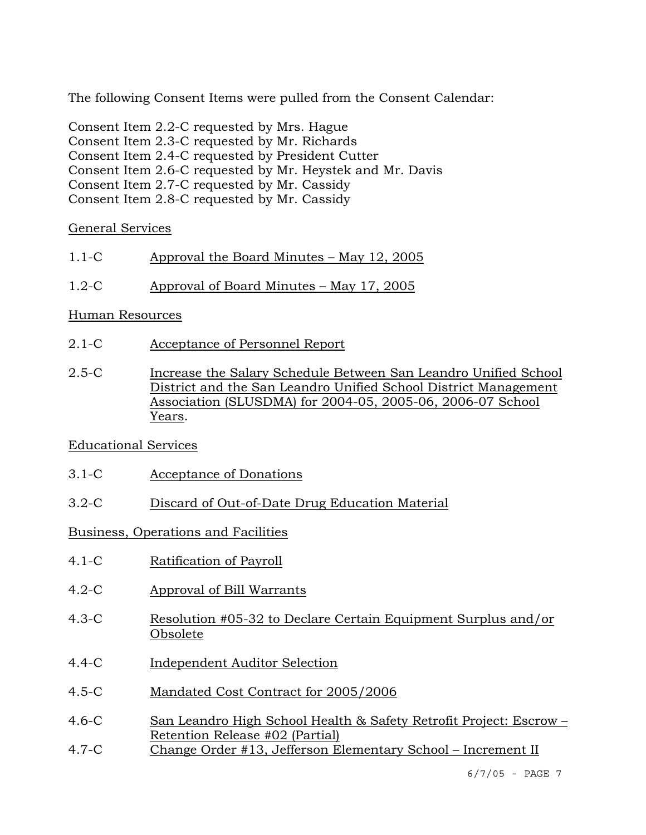The following Consent Items were pulled from the Consent Calendar:

Consent Item 2.2-C requested by Mrs. Hague Consent Item 2.3-C requested by Mr. Richards Consent Item 2.4-C requested by President Cutter Consent Item 2.6-C requested by Mr. Heystek and Mr. Davis Consent Item 2.7-C requested by Mr. Cassidy Consent Item 2.8-C requested by Mr. Cassidy

# General Services

- 1.1-C Approval the Board Minutes May 12, 2005
- 1.2-C Approval of Board Minutes May 17, 2005

# Human Resources

- 2.1-C Acceptance of Personnel Report
- 2.5-C Increase the Salary Schedule Between San Leandro Unified School District and the San Leandro Unified School District Management Association (SLUSDMA) for 2004-05, 2005-06, 2006-07 School Years.

# Educational Services

- 3.1-C Acceptance of Donations
- 3.2-C Discard of Out-of-Date Drug Education Material

# Business, Operations and Facilities

- 4.1-C Ratification of Payroll
- 4.2-C Approval of Bill Warrants
- 4.3-C Resolution #05-32 to Declare Certain Equipment Surplus and/or Obsolete
- 4.4-C Independent Auditor Selection
- 4.5-C Mandated Cost Contract for 2005/2006
- 4.6-C San Leandro High School Health & Safety Retrofit Project: Escrow Retention Release #02 (Partial)
- 4.7-C Change Order #13, Jefferson Elementary School Increment II

6/7/05 - PAGE 7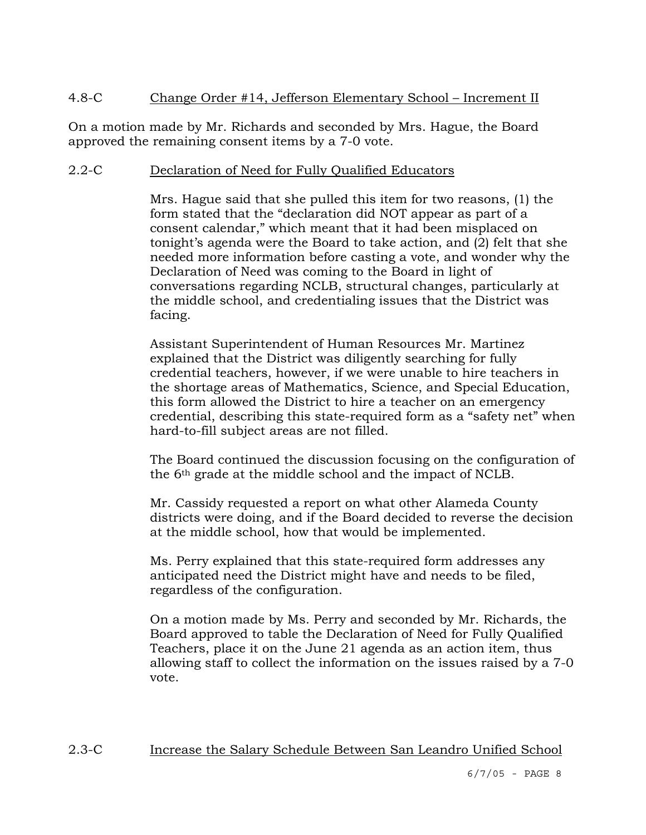# 4.8-C Change Order #14, Jefferson Elementary School – Increment II

On a motion made by Mr. Richards and seconded by Mrs. Hague, the Board approved the remaining consent items by a 7-0 vote.

# 2.2-C Declaration of Need for Fully Qualified Educators

Mrs. Hague said that she pulled this item for two reasons, (1) the form stated that the "declaration did NOT appear as part of a consent calendar," which meant that it had been misplaced on tonight's agenda were the Board to take action, and (2) felt that she needed more information before casting a vote, and wonder why the Declaration of Need was coming to the Board in light of conversations regarding NCLB, structural changes, particularly at the middle school, and credentialing issues that the District was facing.

Assistant Superintendent of Human Resources Mr. Martinez explained that the District was diligently searching for fully credential teachers, however, if we were unable to hire teachers in the shortage areas of Mathematics, Science, and Special Education, this form allowed the District to hire a teacher on an emergency credential, describing this state-required form as a "safety net" when hard-to-fill subject areas are not filled.

The Board continued the discussion focusing on the configuration of the 6th grade at the middle school and the impact of NCLB.

Mr. Cassidy requested a report on what other Alameda County districts were doing, and if the Board decided to reverse the decision at the middle school, how that would be implemented.

Ms. Perry explained that this state-required form addresses any anticipated need the District might have and needs to be filed, regardless of the configuration.

On a motion made by Ms. Perry and seconded by Mr. Richards, the Board approved to table the Declaration of Need for Fully Qualified Teachers, place it on the June 21 agenda as an action item, thus allowing staff to collect the information on the issues raised by a 7-0 vote.

# 2.3-C Increase the Salary Schedule Between San Leandro Unified School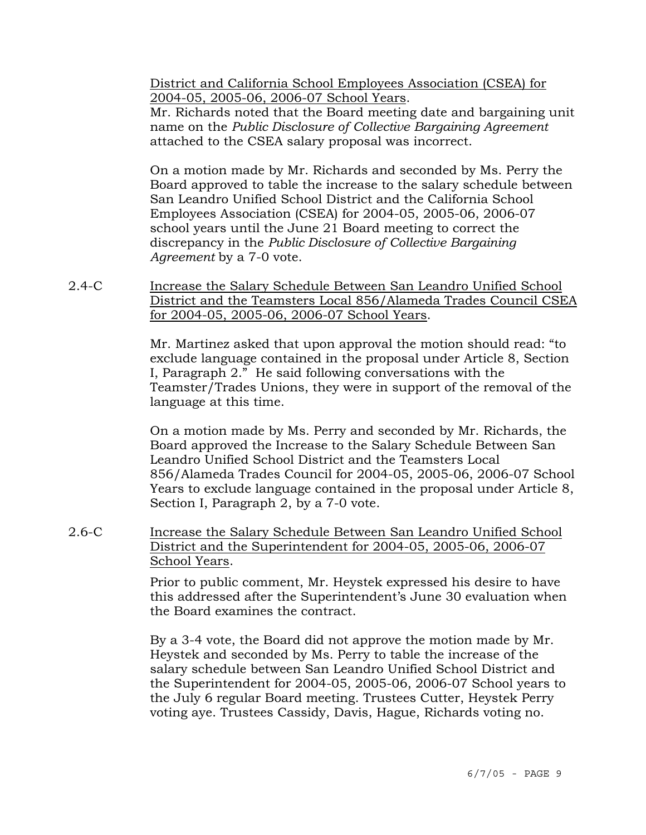District and California School Employees Association (CSEA) for 2004-05, 2005-06, 2006-07 School Years.

Mr. Richards noted that the Board meeting date and bargaining unit name on the *Public Disclosure of Collective Bargaining Agreement* attached to the CSEA salary proposal was incorrect.

On a motion made by Mr. Richards and seconded by Ms. Perry the Board approved to table the increase to the salary schedule between San Leandro Unified School District and the California School Employees Association (CSEA) for 2004-05, 2005-06, 2006-07 school years until the June 21 Board meeting to correct the discrepancy in the *Public Disclosure of Collective Bargaining Agreement* by a 7-0 vote.

2.4-C Increase the Salary Schedule Between San Leandro Unified School District and the Teamsters Local 856/Alameda Trades Council CSEA for 2004-05, 2005-06, 2006-07 School Years.

> Mr. Martinez asked that upon approval the motion should read: "to exclude language contained in the proposal under Article 8, Section I, Paragraph 2." He said following conversations with the Teamster/Trades Unions, they were in support of the removal of the language at this time.

> On a motion made by Ms. Perry and seconded by Mr. Richards, the Board approved the Increase to the Salary Schedule Between San Leandro Unified School District and the Teamsters Local 856/Alameda Trades Council for 2004-05, 2005-06, 2006-07 School Years to exclude language contained in the proposal under Article 8, Section I, Paragraph 2, by a 7-0 vote.

2.6-C Increase the Salary Schedule Between San Leandro Unified School District and the Superintendent for 2004-05, 2005-06, 2006-07 School Years.

> Prior to public comment, Mr. Heystek expressed his desire to have this addressed after the Superintendent's June 30 evaluation when the Board examines the contract.

> By a 3-4 vote, the Board did not approve the motion made by Mr. Heystek and seconded by Ms. Perry to table the increase of the salary schedule between San Leandro Unified School District and the Superintendent for 2004-05, 2005-06, 2006-07 School years to the July 6 regular Board meeting. Trustees Cutter, Heystek Perry voting aye. Trustees Cassidy, Davis, Hague, Richards voting no.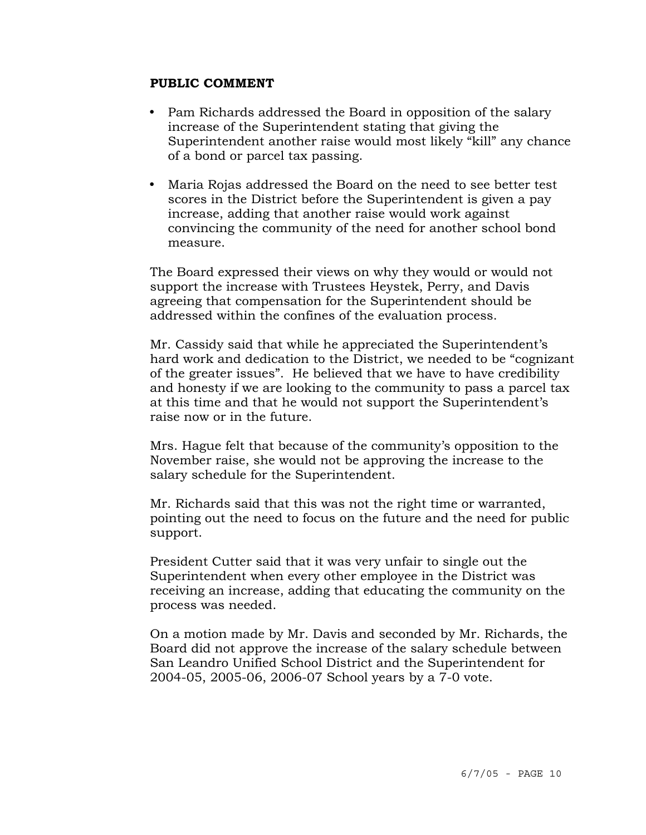#### **PUBLIC COMMENT**

- Pam Richards addressed the Board in opposition of the salary increase of the Superintendent stating that giving the Superintendent another raise would most likely "kill" any chance of a bond or parcel tax passing.
- Maria Rojas addressed the Board on the need to see better test scores in the District before the Superintendent is given a pay increase, adding that another raise would work against convincing the community of the need for another school bond measure.

The Board expressed their views on why they would or would not support the increase with Trustees Heystek, Perry, and Davis agreeing that compensation for the Superintendent should be addressed within the confines of the evaluation process.

Mr. Cassidy said that while he appreciated the Superintendent's hard work and dedication to the District, we needed to be "cognizant of the greater issues". He believed that we have to have credibility and honesty if we are looking to the community to pass a parcel tax at this time and that he would not support the Superintendent's raise now or in the future.

Mrs. Hague felt that because of the community's opposition to the November raise, she would not be approving the increase to the salary schedule for the Superintendent.

Mr. Richards said that this was not the right time or warranted, pointing out the need to focus on the future and the need for public support.

President Cutter said that it was very unfair to single out the Superintendent when every other employee in the District was receiving an increase, adding that educating the community on the process was needed.

On a motion made by Mr. Davis and seconded by Mr. Richards, the Board did not approve the increase of the salary schedule between San Leandro Unified School District and the Superintendent for 2004-05, 2005-06, 2006-07 School years by a 7-0 vote.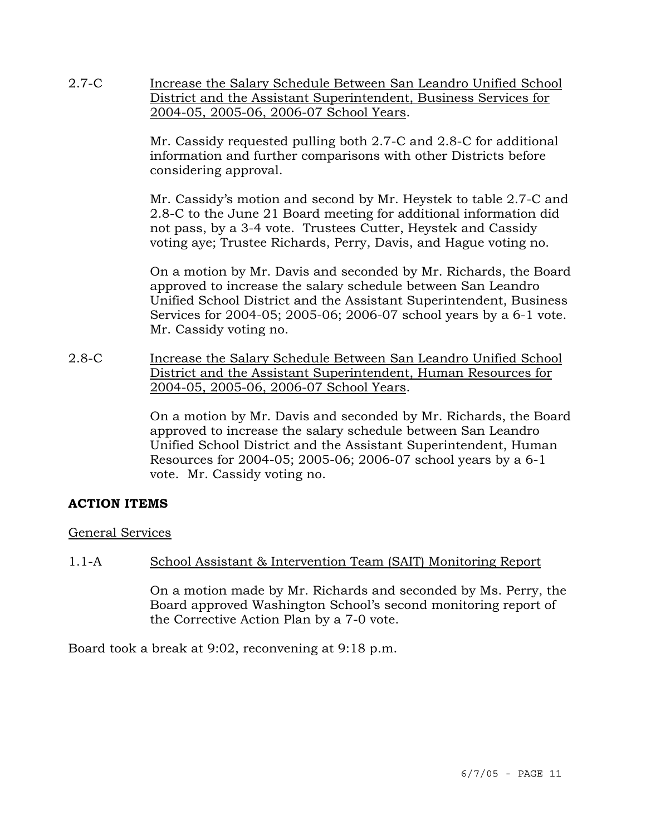2.7-C Increase the Salary Schedule Between San Leandro Unified School District and the Assistant Superintendent, Business Services for 2004-05, 2005-06, 2006-07 School Years.

> Mr. Cassidy requested pulling both 2.7-C and 2.8-C for additional information and further comparisons with other Districts before considering approval.

Mr. Cassidy's motion and second by Mr. Heystek to table 2.7-C and 2.8-C to the June 21 Board meeting for additional information did not pass, by a 3-4 vote. Trustees Cutter, Heystek and Cassidy voting aye; Trustee Richards, Perry, Davis, and Hague voting no.

On a motion by Mr. Davis and seconded by Mr. Richards, the Board approved to increase the salary schedule between San Leandro Unified School District and the Assistant Superintendent, Business Services for 2004-05; 2005-06; 2006-07 school years by a 6-1 vote. Mr. Cassidy voting no.

2.8-C Increase the Salary Schedule Between San Leandro Unified School District and the Assistant Superintendent, Human Resources for 2004-05, 2005-06, 2006-07 School Years.

> On a motion by Mr. Davis and seconded by Mr. Richards, the Board approved to increase the salary schedule between San Leandro Unified School District and the Assistant Superintendent, Human Resources for 2004-05; 2005-06; 2006-07 school years by a 6-1 vote. Mr. Cassidy voting no.

# **ACTION ITEMS**

General Services

# 1.1-A School Assistant & Intervention Team (SAIT) Monitoring Report

On a motion made by Mr. Richards and seconded by Ms. Perry, the Board approved Washington School's second monitoring report of the Corrective Action Plan by a 7-0 vote.

Board took a break at 9:02, reconvening at 9:18 p.m.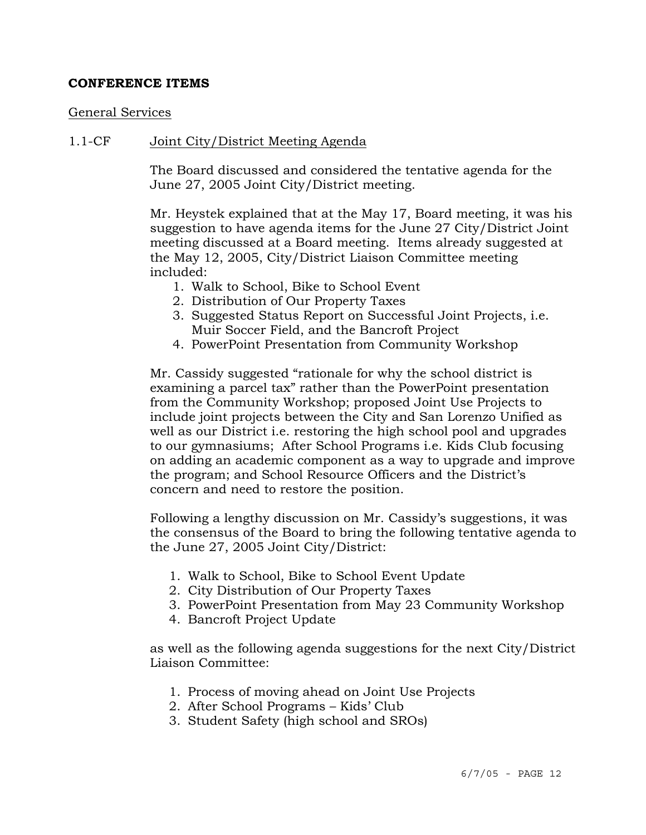#### **CONFERENCE ITEMS**

#### General Services

#### 1.1-CF Joint City/District Meeting Agenda

The Board discussed and considered the tentative agenda for the June 27, 2005 Joint City/District meeting.

Mr. Heystek explained that at the May 17, Board meeting, it was his suggestion to have agenda items for the June 27 City/District Joint meeting discussed at a Board meeting. Items already suggested at the May 12, 2005, City/District Liaison Committee meeting included:

- 1. Walk to School, Bike to School Event
- 2. Distribution of Our Property Taxes
- 3. Suggested Status Report on Successful Joint Projects, i.e. Muir Soccer Field, and the Bancroft Project
- 4. PowerPoint Presentation from Community Workshop

Mr. Cassidy suggested "rationale for why the school district is examining a parcel tax" rather than the PowerPoint presentation from the Community Workshop; proposed Joint Use Projects to include joint projects between the City and San Lorenzo Unified as well as our District i.e. restoring the high school pool and upgrades to our gymnasiums; After School Programs i.e. Kids Club focusing on adding an academic component as a way to upgrade and improve the program; and School Resource Officers and the District's concern and need to restore the position.

Following a lengthy discussion on Mr. Cassidy's suggestions, it was the consensus of the Board to bring the following tentative agenda to the June 27, 2005 Joint City/District:

- 1. Walk to School, Bike to School Event Update
- 2. City Distribution of Our Property Taxes
- 3. PowerPoint Presentation from May 23 Community Workshop
- 4. Bancroft Project Update

as well as the following agenda suggestions for the next City/District Liaison Committee:

- 1. Process of moving ahead on Joint Use Projects
- 2. After School Programs Kids' Club
- 3. Student Safety (high school and SROs)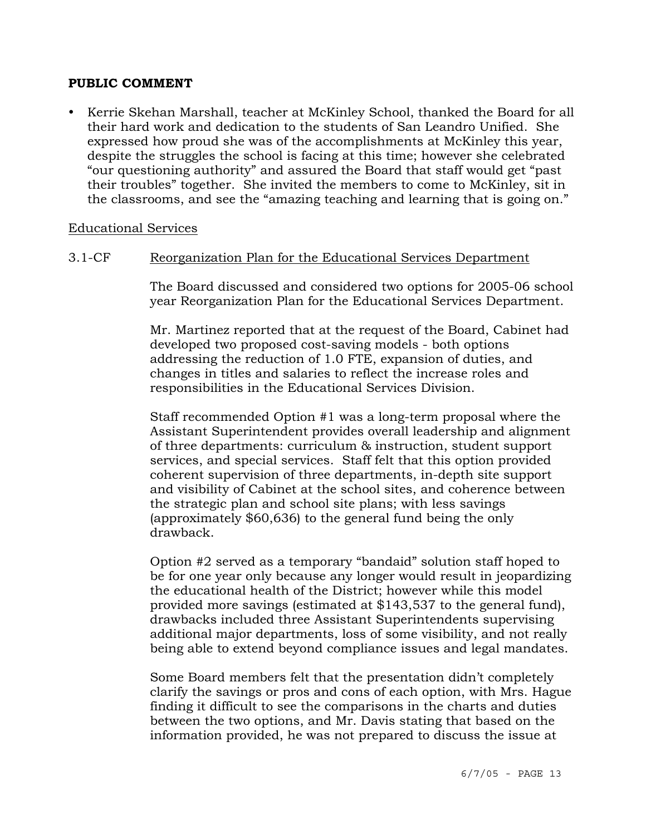#### **PUBLIC COMMENT**

• Kerrie Skehan Marshall, teacher at McKinley School, thanked the Board for all their hard work and dedication to the students of San Leandro Unified. She expressed how proud she was of the accomplishments at McKinley this year, despite the struggles the school is facing at this time; however she celebrated "our questioning authority" and assured the Board that staff would get "past their troubles" together. She invited the members to come to McKinley, sit in the classrooms, and see the "amazing teaching and learning that is going on."

#### Educational Services

## 3.1-CF Reorganization Plan for the Educational Services Department

The Board discussed and considered two options for 2005-06 school year Reorganization Plan for the Educational Services Department.

Mr. Martinez reported that at the request of the Board, Cabinet had developed two proposed cost-saving models - both options addressing the reduction of 1.0 FTE, expansion of duties, and changes in titles and salaries to reflect the increase roles and responsibilities in the Educational Services Division.

Staff recommended Option #1 was a long-term proposal where the Assistant Superintendent provides overall leadership and alignment of three departments: curriculum & instruction, student support services, and special services. Staff felt that this option provided coherent supervision of three departments, in-depth site support and visibility of Cabinet at the school sites, and coherence between the strategic plan and school site plans; with less savings (approximately \$60,636) to the general fund being the only drawback.

Option #2 served as a temporary "bandaid" solution staff hoped to be for one year only because any longer would result in jeopardizing the educational health of the District; however while this model provided more savings (estimated at \$143,537 to the general fund), drawbacks included three Assistant Superintendents supervising additional major departments, loss of some visibility, and not really being able to extend beyond compliance issues and legal mandates.

Some Board members felt that the presentation didn't completely clarify the savings or pros and cons of each option, with Mrs. Hague finding it difficult to see the comparisons in the charts and duties between the two options, and Mr. Davis stating that based on the information provided, he was not prepared to discuss the issue at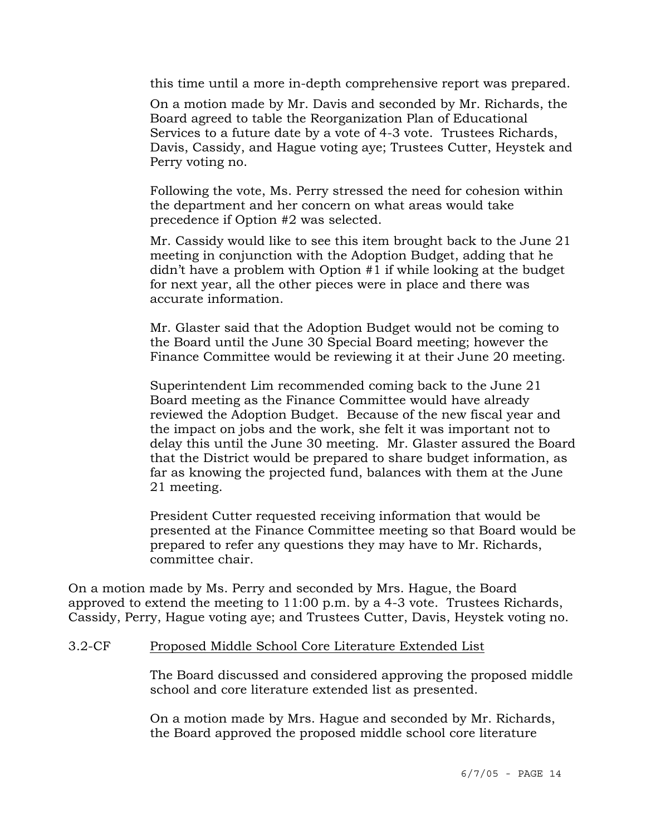this time until a more in-depth comprehensive report was prepared.

On a motion made by Mr. Davis and seconded by Mr. Richards, the Board agreed to table the Reorganization Plan of Educational Services to a future date by a vote of 4-3 vote. Trustees Richards, Davis, Cassidy, and Hague voting aye; Trustees Cutter, Heystek and Perry voting no.

Following the vote, Ms. Perry stressed the need for cohesion within the department and her concern on what areas would take precedence if Option #2 was selected.

Mr. Cassidy would like to see this item brought back to the June 21 meeting in conjunction with the Adoption Budget, adding that he didn't have a problem with Option #1 if while looking at the budget for next year, all the other pieces were in place and there was accurate information.

Mr. Glaster said that the Adoption Budget would not be coming to the Board until the June 30 Special Board meeting; however the Finance Committee would be reviewing it at their June 20 meeting.

Superintendent Lim recommended coming back to the June 21 Board meeting as the Finance Committee would have already reviewed the Adoption Budget. Because of the new fiscal year and the impact on jobs and the work, she felt it was important not to delay this until the June 30 meeting. Mr. Glaster assured the Board that the District would be prepared to share budget information, as far as knowing the projected fund, balances with them at the June 21 meeting.

President Cutter requested receiving information that would be presented at the Finance Committee meeting so that Board would be prepared to refer any questions they may have to Mr. Richards, committee chair.

On a motion made by Ms. Perry and seconded by Mrs. Hague, the Board approved to extend the meeting to 11:00 p.m. by a 4-3 vote. Trustees Richards, Cassidy, Perry, Hague voting aye; and Trustees Cutter, Davis, Heystek voting no.

#### 3.2-CF Proposed Middle School Core Literature Extended List

The Board discussed and considered approving the proposed middle school and core literature extended list as presented.

On a motion made by Mrs. Hague and seconded by Mr. Richards, the Board approved the proposed middle school core literature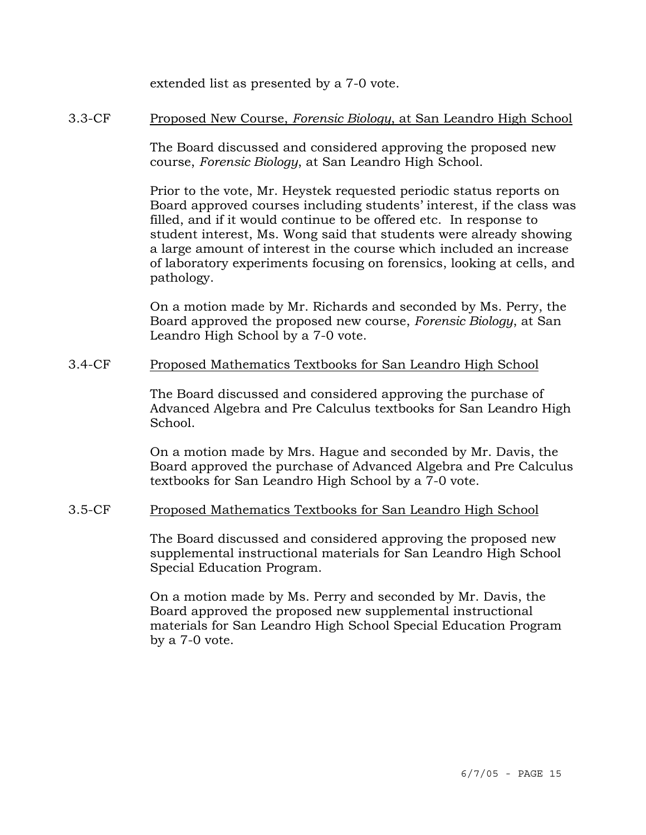extended list as presented by a 7-0 vote.

## 3.3-CF Proposed New Course, *Forensic Biology*, at San Leandro High School

The Board discussed and considered approving the proposed new course, *Forensic Biology*, at San Leandro High School.

Prior to the vote, Mr. Heystek requested periodic status reports on Board approved courses including students' interest, if the class was filled, and if it would continue to be offered etc. In response to student interest, Ms. Wong said that students were already showing a large amount of interest in the course which included an increase of laboratory experiments focusing on forensics, looking at cells, and pathology.

On a motion made by Mr. Richards and seconded by Ms. Perry, the Board approved the proposed new course, *Forensic Biology*, at San Leandro High School by a 7-0 vote.

## 3.4-CF Proposed Mathematics Textbooks for San Leandro High School

The Board discussed and considered approving the purchase of Advanced Algebra and Pre Calculus textbooks for San Leandro High School.

On a motion made by Mrs. Hague and seconded by Mr. Davis, the Board approved the purchase of Advanced Algebra and Pre Calculus textbooks for San Leandro High School by a 7-0 vote.

# 3.5-CF Proposed Mathematics Textbooks for San Leandro High School

The Board discussed and considered approving the proposed new supplemental instructional materials for San Leandro High School Special Education Program.

On a motion made by Ms. Perry and seconded by Mr. Davis, the Board approved the proposed new supplemental instructional materials for San Leandro High School Special Education Program by a 7-0 vote.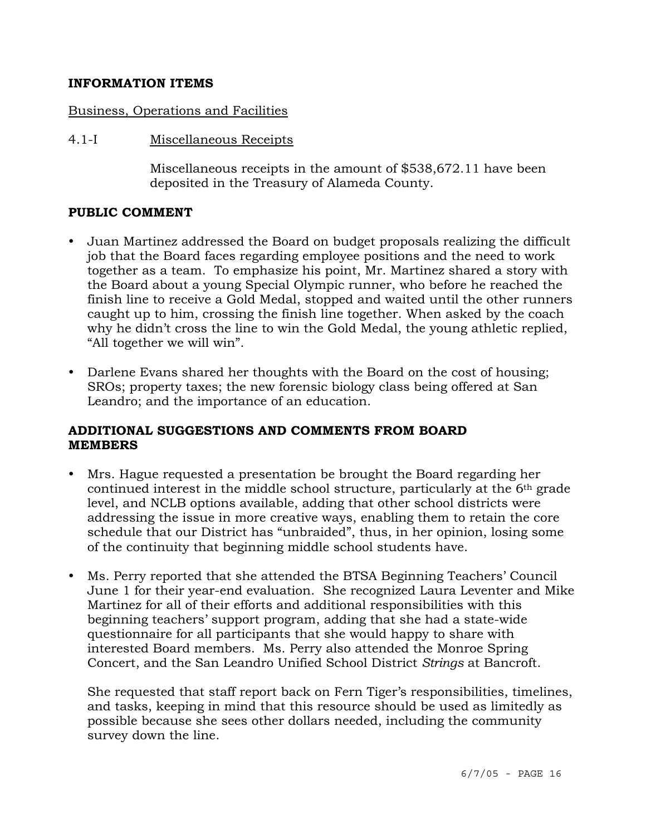## **INFORMATION ITEMS**

## Business, Operations and Facilities

4.1-I Miscellaneous Receipts

Miscellaneous receipts in the amount of \$538,672.11 have been deposited in the Treasury of Alameda County.

## **PUBLIC COMMENT**

- Juan Martinez addressed the Board on budget proposals realizing the difficult job that the Board faces regarding employee positions and the need to work together as a team. To emphasize his point, Mr. Martinez shared a story with the Board about a young Special Olympic runner, who before he reached the finish line to receive a Gold Medal, stopped and waited until the other runners caught up to him, crossing the finish line together. When asked by the coach why he didn't cross the line to win the Gold Medal, the young athletic replied, "All together we will win".
- Darlene Evans shared her thoughts with the Board on the cost of housing; SROs; property taxes; the new forensic biology class being offered at San Leandro; and the importance of an education.

## **ADDITIONAL SUGGESTIONS AND COMMENTS FROM BOARD MEMBERS**

- Mrs. Hague requested a presentation be brought the Board regarding her continued interest in the middle school structure, particularly at the 6th grade level, and NCLB options available, adding that other school districts were addressing the issue in more creative ways, enabling them to retain the core schedule that our District has "unbraided", thus, in her opinion, losing some of the continuity that beginning middle school students have.
- y Ms. Perry reported that she attended the BTSA Beginning Teachers' Council June 1 for their year-end evaluation. She recognized Laura Leventer and Mike Martinez for all of their efforts and additional responsibilities with this beginning teachers' support program, adding that she had a state-wide questionnaire for all participants that she would happy to share with interested Board members. Ms. Perry also attended the Monroe Spring Concert, and the San Leandro Unified School District *Strings* at Bancroft.

She requested that staff report back on Fern Tiger's responsibilities, timelines, and tasks, keeping in mind that this resource should be used as limitedly as possible because she sees other dollars needed, including the community survey down the line.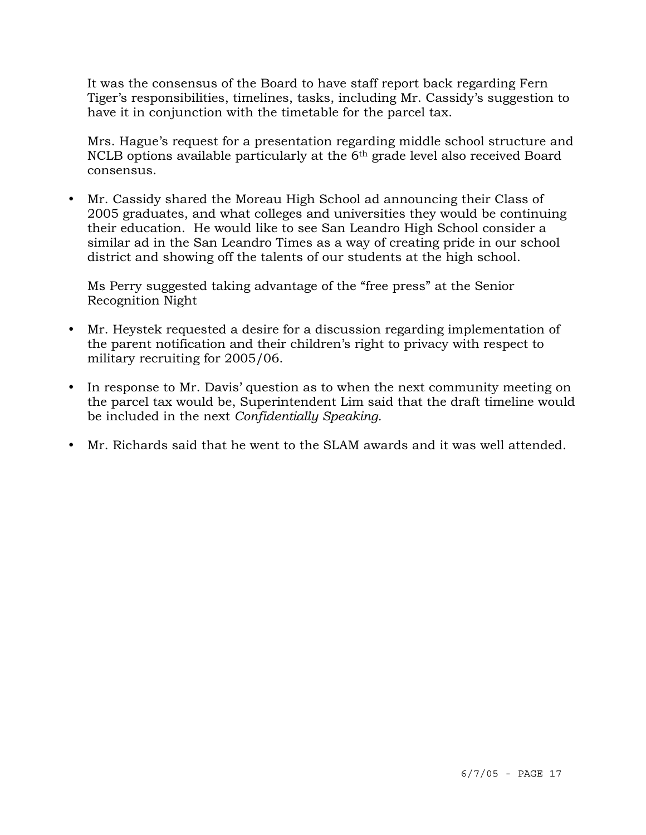It was the consensus of the Board to have staff report back regarding Fern Tiger's responsibilities, timelines, tasks, including Mr. Cassidy's suggestion to have it in conjunction with the timetable for the parcel tax.

Mrs. Hague's request for a presentation regarding middle school structure and NCLB options available particularly at the 6th grade level also received Board consensus.

• Mr. Cassidy shared the Moreau High School ad announcing their Class of 2005 graduates, and what colleges and universities they would be continuing their education. He would like to see San Leandro High School consider a similar ad in the San Leandro Times as a way of creating pride in our school district and showing off the talents of our students at the high school.

 Ms Perry suggested taking advantage of the "free press" at the Senior Recognition Night

- Mr. Heystek requested a desire for a discussion regarding implementation of the parent notification and their children's right to privacy with respect to military recruiting for 2005/06.
- In response to Mr. Davis' question as to when the next community meeting on the parcel tax would be, Superintendent Lim said that the draft timeline would be included in the next *Confidentially Speaking.*
- Mr. Richards said that he went to the SLAM awards and it was well attended.